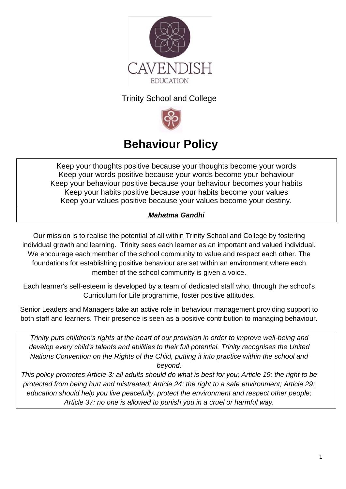

## Trinity School and College



# **Behaviour Policy**

Keep your thoughts positive because your thoughts become your words Keep your words positive because your words become your behaviour Keep your behaviour positive because your behaviour becomes your habits Keep your habits positive because your habits become your values Keep your values positive because your values become your destiny.

## *Mahatma Gandhi*

Our mission is to realise the potential of all within Trinity School and College by fostering individual growth and learning. Trinity sees each learner as an important and valued individual. We encourage each member of the school community to value and respect each other. The foundations for establishing positive behaviour are set within an environment where each member of the school community is given a voice.

Each learner's self-esteem is developed by a team of dedicated staff who, through the school's Curriculum for Life programme, foster positive attitudes.

Senior Leaders and Managers take an active role in behaviour management providing support to both staff and learners. Their presence is seen as a positive contribution to managing behaviour.

*Trinity puts [children's rights](http://www.unicef.org.uk/rights-respecting-schools/about-the-award/child-rights-in-schools/) at the heart of our provision in order to improve well-being and develop every child's talents and abilities to their full potential. Trinity recognises the [United](http://www.unicef.org.uk/UNICEFs-Work/UN-Convention/)  [Nations Convention on the Rights of the Child, putting](http://www.unicef.org.uk/UNICEFs-Work/UN-Convention/) it into practice within the school and beyond.*

*This policy promotes Article 3: all adults should do what is best for you; Article 19: the right to be protected from being hurt and mistreated; Article 24: the right to a safe environment; Article 29: education should help you live peacefully, protect the environment and respect other people; Article 37: no one is allowed to punish you in a cruel or harmful way.*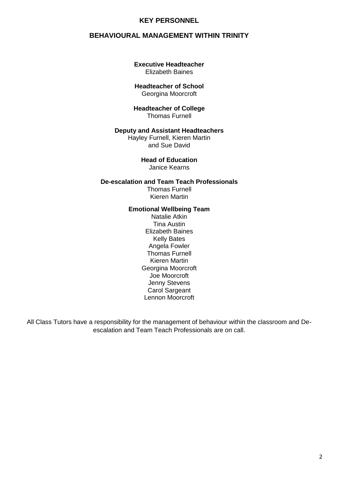#### **KEY PERSONNEL**

#### **BEHAVIOURAL MANAGEMENT WITHIN TRINITY**

#### **Executive Headteacher** Elizabeth Baines

#### **Headteacher of School** Georgina Moorcroft

#### **Headteacher of College** Thomas Furnell

#### **Deputy and Assistant Headteachers**

Hayley Furnell, Kieren Martin and Sue David

> **Head of Education** Janice Kearns

#### **De-escalation and Team Teach Professionals** Thomas Furnell Kieren Martin

#### **Emotional Wellbeing Team**

Natalie Atkin Tina Austin Elizabeth Baines Kelly Bates Angela Fowler Thomas Furnell Kieren Martin Georgina Moorcroft Joe Moorcroft Jenny Stevens Carol Sargeant Lennon Moorcroft

All Class Tutors have a responsibility for the management of behaviour within the classroom and Deescalation and Team Teach Professionals are on call.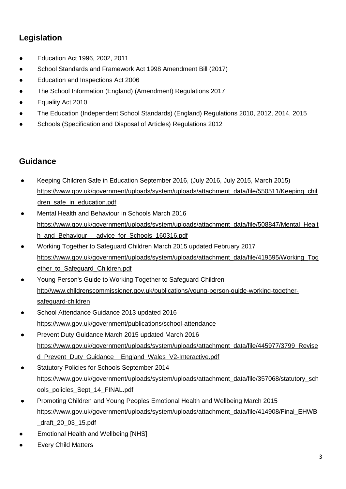# **Legislation**

- Education Act 1996, 2002, 2011
- School Standards and Framework Act 1998 Amendment Bill (2017)
- Education and Inspections Act 2006
- The School Information (England) (Amendment) Regulations 2017
- Equality Act 2010
- The Education (Independent School Standards) (England) Regulations 2010, 2012, 2014, 2015
- Schools (Specification and Disposal of Articles) Regulations 2012

## **Guidance**

- Keeping Children Safe in Education September 2016, (July 2016, July 2015, March 2015) [https://www.gov.uk/government/uploads/system/uploads/attachment\\_data/file/550511/Keeping\\_chil](https://www.gov.uk/government/uploads/system/uploads/attachment_data/file/550511/Keeping_children_safe_in_education.pdf) [dren\\_safe\\_in\\_education.pdf](https://www.gov.uk/government/uploads/system/uploads/attachment_data/file/550511/Keeping_children_safe_in_education.pdf)
- Mental Health and Behaviour in Schools March 2016 [https://www.gov.uk/government/uploads/system/uploads/attachment\\_data/file/508847/Mental\\_Healt](https://www.gov.uk/government/uploads/system/uploads/attachment_data/file/508847/Mental_Health_and_Behaviour_-_advice_for_Schools_160316.pdf) h\_and\_Behaviour - advice for Schools 160316.pdf
- Working Together to Safeguard Children March 2015 updated February 2017 [https://www.gov.uk/government/uploads/system/uploads/attachment\\_data/file/419595/Working\\_Tog](https://www.gov.uk/government/uploads/system/uploads/attachment_data/file/419595/Working_Together_to_Safeguard_Children.pdf) ether to Safeguard Children.pdf
- Young Person's Guide to Working Together to Safeguard Children http//www.childrenscommissioner.gov.uk/publications/young-person-guide-working-togethersafeguard-children
- School Attendance Guidance 2013 updated 2016 <https://www.gov.uk/government/publications/school-attendance>
- Prevent Duty Guidance March 2015 updated March 2016 https://www.gov.uk/government/uploads/system/uploads/attachment\_data/file/445977/3799\_Revise d Prevent Duty Guidance England Wales V2-Interactive.pdf
- Statutory Policies for Schools September 2014 https://www.gov.uk/government/uploads/system/uploads/attachment\_data/file/357068/statutory\_sch ools\_policies\_Sept\_14\_FINAL.pdf
- Promoting Children and Young Peoples Emotional Health and Wellbeing March 2015 https://www.gov.uk/government/uploads/system/uploads/attachment\_data/file/414908/Final\_EHWB \_draft\_20\_03\_15.pdf
- **Emotional Health and Wellbeing [NHS]**
- **Every Child Matters**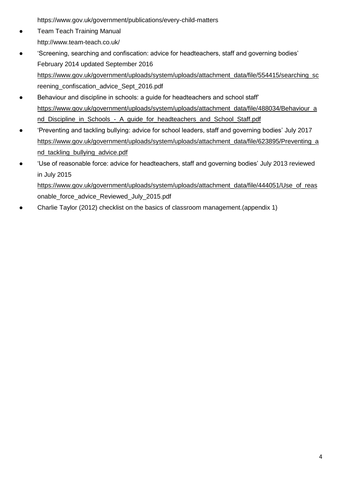https://www.gov.uk/government/publications/every-child-matters

- **Team Teach Training Manual** http://www.team-teach.co.uk/
- ['Screening, searching and confiscation: advice for headteachers, staff and governing bodies'](https://www.gov.uk/government/publications/searching-screening-and-confiscation) February 2014 updated September 2016 [https://www.gov.uk/government/uploads/system/uploads/attachment\\_data/file/554415/searching\\_sc](https://www.gov.uk/government/uploads/system/uploads/attachment_data/file/554415/searching_sc) reening\_confiscation\_advice\_Sept\_2016.pdf
- [Behaviour and discipline in schools: a guide for headteachers and school staff'](https://www.gov.uk/government/publications/behaviour-and-discipline-in-schools) [https://www.gov.uk/government/uploads/system/uploads/attachment\\_data/file/488034/Behaviour\\_a](https://www.gov.uk/government/uploads/system/uploads/attachment_data/file/488034/Behaviour_and_Discipline_in_Schools_-_A_guide_for_headteachers_and_School_Staff.pdf) [nd\\_Discipline\\_in\\_Schools\\_-\\_A\\_guide\\_for\\_headteachers\\_and\\_School\\_Staff.pdf](https://www.gov.uk/government/uploads/system/uploads/attachment_data/file/488034/Behaviour_and_Discipline_in_Schools_-_A_guide_for_headteachers_and_School_Staff.pdf)
- ['Preventing and tackling bullying: advice for school leaders, staff and governing bodies'](https://www.gov.uk/government/publications/preventing-and-tackling-bullying) July 2017 [https://www.gov.uk/government/uploads/system/uploads/attachment\\_data/file/623895/Preventing\\_a](https://www.gov.uk/government/uploads/system/uploads/attachment_data/file/623895/Preventing_and_tackling_bullying_advice.pdf) [nd\\_tackling\\_bullying\\_advice.pdf](https://www.gov.uk/government/uploads/system/uploads/attachment_data/file/623895/Preventing_and_tackling_bullying_advice.pdf)
- ['Use of reasonable force: advice for headteachers, staff and governing bodies'](https://www.gov.uk/government/publications/use-of-reasonable-force-in-schools) July 2013 reviewed in July 2015 [https://www.gov.uk/government/uploads/system/uploads/attachment\\_data/file/444051/Use\\_of\\_reas](https://www.gov.uk/government/uploads/system/uploads/attachment_data/file/444051/Use_of_reas) onable\_force\_advice\_Reviewed\_July\_2015.pdf
- Charlie Taylor (2012) [checklist on the basics of classroom management.](https://www.gov.uk/government/publications/good-behaviour-in-schools-checklist-for-teachers)(appendix 1)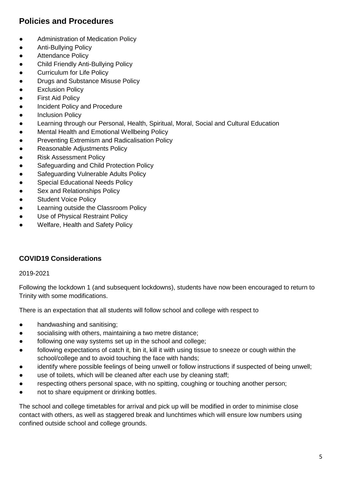# **Policies and Procedures**

- Administration of Medication Policy
- Anti-Bullying Policy
- Attendance Policy
- Child Friendly Anti-Bullying Policy
- Curriculum for Life Policy
- Drugs and Substance Misuse Policy
- **•** Exclusion Policy
- **First Aid Policy**
- **Incident Policy and Procedure**
- **•** Inclusion Policy
- Learning through our Personal, Health, Spiritual, Moral, Social and Cultural Education
- **Mental Health and Emotional Wellbeing Policy**
- Preventing Extremism and Radicalisation Policy
- Reasonable Adjustments Policy
- **Risk Assessment Policy**
- Safeguarding and Child Protection Policy
- Safeguarding Vulnerable Adults Policy
- **Special Educational Needs Policy**
- Sex and Relationships Policy
- Student Voice Policy
- **Learning outside the Classroom Policy**
- Use of Physical Restraint Policy
- Welfare, Health and Safety Policy

## **COVID19 Considerations**

#### 2019-2021

Following the lockdown 1 (and subsequent lockdowns), students have now been encouraged to return to Trinity with some modifications.

There is an expectation that all students will follow school and college with respect to

- handwashing and sanitising;
- socialising with others, maintaining a two metre distance;
- following one way systems set up in the school and college;
- following expectations of catch it, bin it, kill it with using tissue to sneeze or cough within the school/college and to avoid touching the face with hands;
- identify where possible feelings of being unwell or follow instructions if suspected of being unwell;
- use of toilets, which will be cleaned after each use by cleaning staff;
- respecting others personal space, with no spitting, coughing or touching another person;
- not to share equipment or drinking bottles.

The school and college timetables for arrival and pick up will be modified in order to minimise close contact with others, as well as staggered break and lunchtimes which will ensure low numbers using confined outside school and college grounds.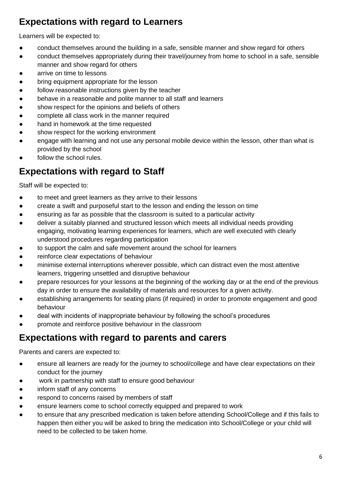# **Expectations with regard to Learners**

Learners will be expected to:

- conduct themselves around the building in a safe, sensible manner and show regard for others
- conduct themselves appropriately during their travel/journey from home to school in a safe, sensible manner and show regard for others
- arrive on time to lessons
- bring equipment appropriate for the lesson
- follow reasonable instructions given by the teacher
- behave in a reasonable and polite manner to all staff and learners
- show respect for the opinions and beliefs of others
- complete all class work in the manner required
- hand in homework at the time requested
- show respect for the working environment
- engage with learning and not use any personal mobile device within the lesson, other than what is provided by the school
- follow the school rules.

# **Expectations with regard to Staff**

Staff will be expected to:

- to meet and greet learners as they arrive to their lessons
- create a swift and purposeful start to the lesson and ending the lesson on time
- ensuring as far as possible that the classroom is suited to a particular activity
- deliver a suitably planned and structured lesson which meets all individual needs providing engaging, motivating learning experiences for learners, which are well executed with clearly understood procedures regarding participation
- to support the calm and safe movement around the school for learners
- reinforce clear expectations of behaviour
- minimise external interruptions wherever possible, which can distract even the most attentive learners, triggering unsettled and disruptive behaviour
- prepare resources for your lessons at the beginning of the working day or at the end of the previous day in order to ensure the availability of materials and resources for a given activity.
- establishing arrangements for seating plans (if required) in order to promote engagement and good behaviour
- deal with incidents of inappropriate behaviour by following the school's procedures
- promote and reinforce positive behaviour in the classroom

# **Expectations with regard to parents and carers**

Parents and carers are expected to:

- ensure all learners are ready for the journey to school/college and have clear expectations on their conduct for the journey
- work in partnership with staff to ensure good behaviour
- inform staff of any concerns
- respond to concerns raised by members of staff
- ensure learners come to school correctly equipped and prepared to work
- to ensure that any prescribed medication is taken before attending School/College and if this fails to happen then either you will be asked to bring the medication into School/College or your child will need to be collected to be taken home.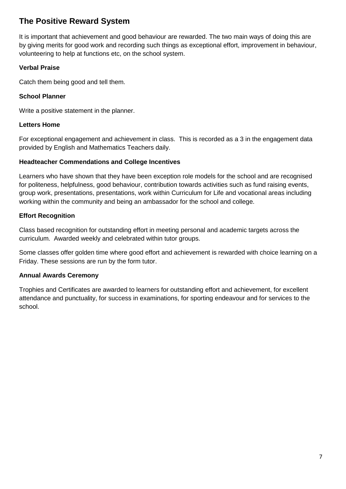# **The Positive Reward System**

It is important that achievement and good behaviour are rewarded. The two main ways of doing this are by giving merits for good work and recording such things as exceptional effort, improvement in behaviour, volunteering to help at functions etc, on the school system.

#### **Verbal Praise**

Catch them being good and tell them.

#### **School Planner**

Write a positive statement in the planner.

#### **Letters Home**

For exceptional engagement and achievement in class. This is recorded as a 3 in the engagement data provided by English and Mathematics Teachers daily.

#### **Headteacher Commendations and College Incentives**

Learners who have shown that they have been exception role models for the school and are recognised for politeness, helpfulness, good behaviour, contribution towards activities such as fund raising events, group work, presentations, presentations, work within Curriculum for Life and vocational areas including working within the community and being an ambassador for the school and college.

#### **Effort Recognition**

Class based recognition for outstanding effort in meeting personal and academic targets across the curriculum. Awarded weekly and celebrated within tutor groups.

Some classes offer golden time where good effort and achievement is rewarded with choice learning on a Friday. These sessions are run by the form tutor.

#### **Annual Awards Ceremony**

Trophies and Certificates are awarded to learners for outstanding effort and achievement, for excellent attendance and punctuality, for success in examinations, for sporting endeavour and for services to the school.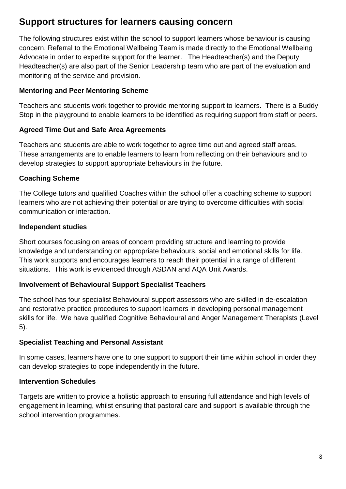# **Support structures for learners causing concern**

The following structures exist within the school to support learners whose behaviour is causing concern. Referral to the Emotional Wellbeing Team is made directly to the Emotional Wellbeing Advocate in order to expedite support for the learner. The Headteacher(s) and the Deputy Headteacher(s) are also part of the Senior Leadership team who are part of the evaluation and monitoring of the service and provision.

### **Mentoring and Peer Mentoring Scheme**

Teachers and students work together to provide mentoring support to learners. There is a Buddy Stop in the playground to enable learners to be identified as requiring support from staff or peers.

### **Agreed Time Out and Safe Area Agreements**

Teachers and students are able to work together to agree time out and agreed staff areas. These arrangements are to enable learners to learn from reflecting on their behaviours and to develop strategies to support appropriate behaviours in the future.

## **Coaching Scheme**

The College tutors and qualified Coaches within the school offer a coaching scheme to support learners who are not achieving their potential or are trying to overcome difficulties with social communication or interaction.

### **Independent studies**

Short courses focusing on areas of concern providing structure and learning to provide knowledge and understanding on appropriate behaviours, social and emotional skills for life. This work supports and encourages learners to reach their potential in a range of different situations. This work is evidenced through ASDAN and AQA Unit Awards.

## **Involvement of Behavioural Support Specialist Teachers**

The school has four specialist Behavioural support assessors who are skilled in de-escalation and restorative practice procedures to support learners in developing personal management skills for life. We have qualified Cognitive Behavioural and Anger Management Therapists (Level 5).

#### **Specialist Teaching and Personal Assistant**

In some cases, learners have one to one support to support their time within school in order they can develop strategies to cope independently in the future.

#### **Intervention Schedules**

Targets are written to provide a holistic approach to ensuring full attendance and high levels of engagement in learning, whilst ensuring that pastoral care and support is available through the school intervention programmes.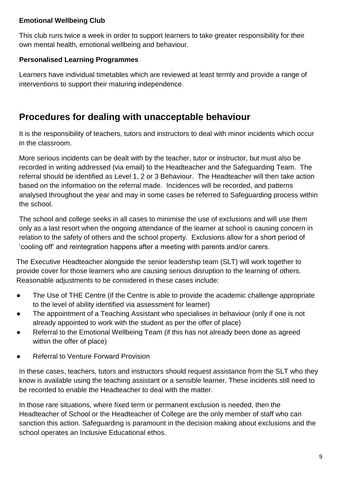## **Emotional Wellbeing Club**

This club runs twice a week in order to support learners to take greater responsibility for their own mental health, emotional wellbeing and behaviour.

## **Personalised Learning Programmes**

Learners have individual timetables which are reviewed at least termly and provide a range of interventions to support their maturing independence.

# **Procedures for dealing with unacceptable behaviour**

It is the responsibility of teachers, tutors and instructors to deal with minor incidents which occur in the classroom.

More serious incidents can be dealt with by the teacher, tutor or instructor, but must also be recorded in writing addressed (via email) to the Headteacher and the Safeguarding Team. The referral should be identified as Level 1, 2 or 3 Behaviour. The Headteacher will then take action based on the information on the referral made. Incidences will be recorded, and patterns analysed throughout the year and may in some cases be referred to Safeguarding process within the school.

The school and college seeks in all cases to minimise the use of exclusions and will use them only as a last resort when the ongoing attendance of the learner at school is causing concern in relation to the safety of others and the school property. Exclusions allow for a short period of 'cooling off' and reintegration happens after a meeting with parents and/or carers.

The Executive Headteacher alongside the senior leadership team (SLT) will work together to provide cover for those learners who are causing serious disruption to the learning of others. Reasonable adjustments to be considered in these cases include:

- The Use of THE Centre (if the Centre is able to provide the academic challenge appropriate to the level of ability identified via assessment for learner)
- The appointment of a Teaching Assistant who specialises in behaviour (only if one is not already appointed to work with the student as per the offer of place)
- Referral to the Emotional Wellbeing Team (if this has not already been done as agreed within the offer of place)
- Referral to Venture Forward Provision

In these cases, teachers, tutors and instructors should request assistance from the SLT who they know is available using the teaching assistant or a sensible learner. These incidents still need to be recorded to enable the Headteacher to deal with the matter.

In those rare situations, where fixed term or permanent exclusion is needed, then the Headteacher of School or the Headteacher of College are the only member of staff who can sanction this action. Safeguarding is paramount in the decision making about exclusions and the school operates an Inclusive Educational ethos.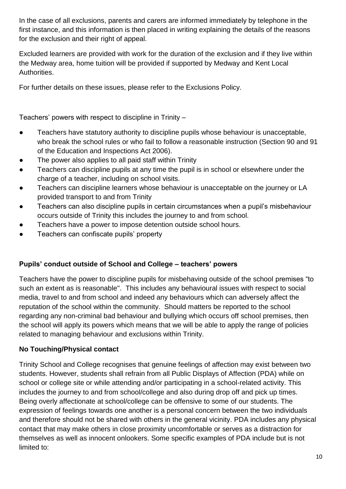In the case of all exclusions, parents and carers are informed immediately by telephone in the first instance, and this information is then placed in writing explaining the details of the reasons for the exclusion and their right of appeal.

Excluded learners are provided with work for the duration of the exclusion and if they live within the Medway area, home tuition will be provided if supported by Medway and Kent Local Authorities.

For further details on these issues, please refer to the Exclusions Policy.

Teachers' powers with respect to discipline in Trinity –

- Teachers have statutory authority to discipline pupils whose behaviour is unacceptable, who break the school rules or who fail to follow a reasonable instruction (Section 90 and 91 of the Education and Inspections Act 2006).
- The power also applies to all paid staff within Trinity
- Teachers can discipline pupils at any time the pupil is in school or elsewhere under the charge of a teacher, including on school visits.
- Teachers can discipline learners whose behaviour is unacceptable on the journey or LA provided transport to and from Trinity
- Teachers can also discipline pupils in certain circumstances when a pupil's misbehaviour occurs outside of Trinity this includes the journey to and from school.
- Teachers have a power to impose detention outside school hours.
- Teachers can confiscate pupils' property

## **Pupils' conduct outside of School and College – teachers' powers**

Teachers have the power to discipline pupils for misbehaving outside of the school premises "to such an extent as is reasonable''. This includes any behavioural issues with respect to social media, travel to and from school and indeed any behaviours which can adversely affect the reputation of the school within the community. Should matters be reported to the school regarding any non-criminal bad behaviour and bullying which occurs off school premises, then the school will apply its powers which means that we will be able to apply the range of policies related to managing behaviour and exclusions within Trinity.

## **No Touching/Physical contact**

Trinity School and College recognises that genuine feelings of affection may exist between two students. However, students shall refrain from all Public Displays of Affection (PDA) while on school or college site or while attending and/or participating in a school-related activity. This includes the journey to and from school/college and also during drop off and pick up times. Being overly affectionate at school/college can be offensive to some of our students. The expression of feelings towards one another is a personal concern between the two individuals and therefore should not be shared with others in the general vicinity. PDA includes any physical contact that may make others in close proximity uncomfortable or serves as a distraction for themselves as well as innocent onlookers. Some specific examples of PDA include but is not limited to: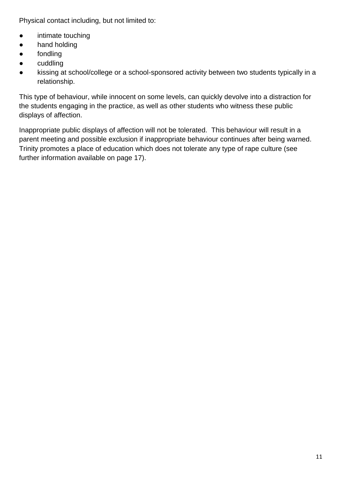Physical contact including, but not limited to:

- intimate touching
- hand holding
- fondling
- cuddling
- kissing at school/college or a school-sponsored activity between two students typically in a relationship.

This type of behaviour, while innocent on some levels, can quickly devolve into a distraction for the students engaging in the practice, as well as other students who witness these public displays of affection.

Inappropriate public displays of affection will not be tolerated. This behaviour will result in a parent meeting and possible exclusion if inappropriate behaviour continues after being warned. Trinity promotes a place of education which does not tolerate any type of rape culture (see further information available on page 17).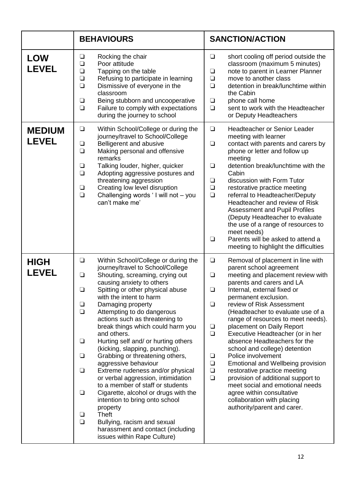|                               | <b>BEHAVIOURS</b>                                                                                                                                                                                                                                                                                                                                                                                                                                                                                                                                                                                                                                                                                                                                                                                                                                                                                                   | <b>SANCTION/ACTION</b>                                                                                                                                                                                                                                                                                                                                                                                                                                                                                                                                                                                                                                                                                                                                                                            |
|-------------------------------|---------------------------------------------------------------------------------------------------------------------------------------------------------------------------------------------------------------------------------------------------------------------------------------------------------------------------------------------------------------------------------------------------------------------------------------------------------------------------------------------------------------------------------------------------------------------------------------------------------------------------------------------------------------------------------------------------------------------------------------------------------------------------------------------------------------------------------------------------------------------------------------------------------------------|---------------------------------------------------------------------------------------------------------------------------------------------------------------------------------------------------------------------------------------------------------------------------------------------------------------------------------------------------------------------------------------------------------------------------------------------------------------------------------------------------------------------------------------------------------------------------------------------------------------------------------------------------------------------------------------------------------------------------------------------------------------------------------------------------|
| <b>LOW</b><br><b>LEVEL</b>    | Rocking the chair<br>$\Box$<br>$\Box$<br>Poor attitude<br>Tapping on the table<br>$\Box$<br>Refusing to participate in learning<br>$\Box$<br>$\Box$<br>Dismissive of everyone in the<br>classroom<br>Being stubborn and uncooperative<br>❏<br>$\Box$<br>Failure to comply with expectations<br>during the journey to school                                                                                                                                                                                                                                                                                                                                                                                                                                                                                                                                                                                         | $\Box$<br>short cooling off period outside the<br>classroom (maximum 5 minutes)<br>note to parent in Learner Planner<br>❏<br>move to another class<br>$\Box$<br>$\Box$<br>detention in break/lunchtime within<br>the Cabin<br>phone call home<br>$\Box$<br>$\Box$<br>sent to work with the Headteacher<br>or Deputy Headteachers                                                                                                                                                                                                                                                                                                                                                                                                                                                                  |
| <b>MEDIUM</b><br><b>LEVEL</b> | Within School/College or during the<br>$\Box$<br>journey/travel to School/College<br>Belligerent and abusive<br>$\Box$<br>$\Box$<br>Making personal and offensive<br>remarks<br>Talking louder, higher, quicker<br>❏<br>$\Box$<br>Adopting aggressive postures and<br>threatening aggression<br>Creating low level disruption<br>❏<br>$\Box$<br>Challenging words 'I will not - you<br>can't make me'                                                                                                                                                                                                                                                                                                                                                                                                                                                                                                               | <b>Headteacher or Senior Leader</b><br>$\Box$<br>meeting with learner<br>$\Box$<br>contact with parents and carers by<br>phone or letter and follow up<br>meeting<br>detention break/lunchtime with the<br>❏<br>Cabin<br>discussion with Form Tutor<br>$\Box$<br>$\Box$<br>restorative practice meeting<br>$\Box$<br>referral to Headteacher/Deputy<br>Headteacher and review of Risk<br><b>Assessment and Pupil Profiles</b><br>(Deputy Headteacher to evaluate<br>the use of a range of resources to<br>meet needs)<br>Parents will be asked to attend a<br>$\Box$<br>meeting to highlight the difficulties                                                                                                                                                                                     |
| <b>HIGH</b><br><b>LEVEL</b>   | Within School/College or during the<br>$\Box$<br>journey/travel to School/College<br>Shouting, screaming, crying out<br>$\Box$<br>causing anxiety to others<br>Spitting or other physical abuse<br>$\Box$<br>with the intent to harm<br>$\Box$<br>Damaging property<br>$\Box$<br>Attempting to do dangerous<br>actions such as threatening to<br>break things which could harm you<br>and others.<br>Hurting self and/ or hurting others<br>$\Box$<br>(kicking, slapping, punching).<br>$\Box$<br>Grabbing or threatening others,<br>aggressive behaviour<br>$\Box$<br>Extreme rudeness and/or physical<br>or verbal aggression, intimidation<br>to a member of staff or students<br>$\Box$<br>Cigarette, alcohol or drugs with the<br>intention to bring onto school<br>property<br><b>Theft</b><br>❏<br>$\Box$<br>Bullying, racism and sexual<br>harassment and contact (including<br>issues within Rape Culture) | $\Box$<br>Removal of placement in line with<br>parent school agreement<br>meeting and placement review with<br>$\Box$<br>parents and carers and LA<br>$\Box$<br>Internal, external fixed or<br>permanent exclusion.<br>$\Box$<br>review of Risk Assessment<br>(Headteacher to evaluate use of a<br>range of resources to meet needs).<br>placement on Daily Report<br>$\Box$<br>$\Box$<br>Executive Headteacher (or in her<br>absence Headteachers for the<br>school and college) detention<br>Police involvement<br>$\Box$<br>$\Box$<br>Emotional and Wellbeing provision<br>$\Box$<br>restorative practice meeting<br>$\Box$<br>provision of additional support to<br>meet social and emotional needs<br>agree within consultative<br>collaboration with placing<br>authority/parent and carer. |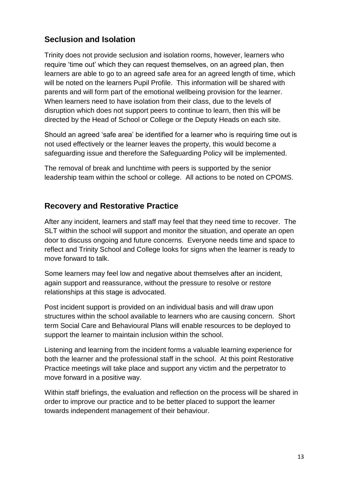## **Seclusion and Isolation**

Trinity does not provide seclusion and isolation rooms, however, learners who require 'time out' which they can request themselves, on an agreed plan, then learners are able to go to an agreed safe area for an agreed length of time, which will be noted on the learners Pupil Profile. This information will be shared with parents and will form part of the emotional wellbeing provision for the learner. When learners need to have isolation from their class, due to the levels of disruption which does not support peers to continue to learn, then this will be directed by the Head of School or College or the Deputy Heads on each site.

Should an agreed 'safe area' be identified for a learner who is requiring time out is not used effectively or the learner leaves the property, this would become a safeguarding issue and therefore the Safeguarding Policy will be implemented.

The removal of break and lunchtime with peers is supported by the senior leadership team within the school or college. All actions to be noted on CPOMS.

## **Recovery and Restorative Practice**

After any incident, learners and staff may feel that they need time to recover. The SLT within the school will support and monitor the situation, and operate an open door to discuss ongoing and future concerns. Everyone needs time and space to reflect and Trinity School and College looks for signs when the learner is ready to move forward to talk.

Some learners may feel low and negative about themselves after an incident, again support and reassurance, without the pressure to resolve or restore relationships at this stage is advocated.

Post incident support is provided on an individual basis and will draw upon structures within the school available to learners who are causing concern. Short term Social Care and Behavioural Plans will enable resources to be deployed to support the learner to maintain inclusion within the school.

Listening and learning from the incident forms a valuable learning experience for both the learner and the professional staff in the school. At this point Restorative Practice meetings will take place and support any victim and the perpetrator to move forward in a positive way.

Within staff briefings, the evaluation and reflection on the process will be shared in order to improve our practice and to be better placed to support the learner towards independent management of their behaviour.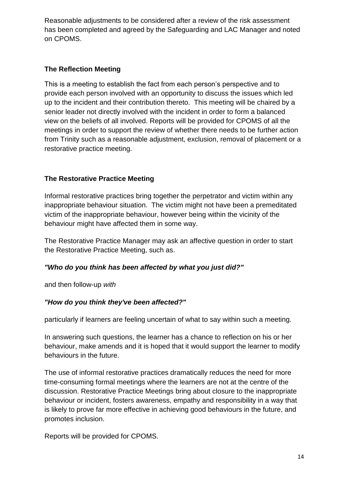Reasonable adjustments to be considered after a review of the risk assessment has been completed and agreed by the Safeguarding and LAC Manager and noted on CPOMS.

### **The Reflection Meeting**

This is a meeting to establish the fact from each person's perspective and to provide each person involved with an opportunity to discuss the issues which led up to the incident and their contribution thereto. This meeting will be chaired by a senior leader not directly involved with the incident in order to form a balanced view on the beliefs of all involved. Reports will be provided for CPOMS of all the meetings in order to support the review of whether there needs to be further action from Trinity such as a reasonable adjustment, exclusion, removal of placement or a restorative practice meeting.

## **The Restorative Practice Meeting**

Informal restorative practices bring together the perpetrator and victim within any inappropriate behaviour situation. The victim might not have been a premeditated victim of the inappropriate behaviour, however being within the vicinity of the behaviour might have affected them in some way.

The Restorative Practice Manager may ask an affective question in order to start the Restorative Practice Meeting, such as.

#### *"Who do you think has been affected by what you just did?"*

and then follow-up *with*

#### *"How do you think they've been affected?"*

particularly if learners are feeling uncertain of what to say within such a meeting.

In answering such questions, the learner has a chance to reflection on his or her behaviour, make amends and it is hoped that it would support the learner to modify behaviours in the future.

The use of informal restorative practices dramatically reduces the need for more time-consuming formal meetings where the learners are not at the centre of the discussion. Restorative Practice Meetings bring about closure to the inappropriate behaviour or incident, fosters awareness, empathy and responsibility in a way that is likely to prove far more effective in achieving good behaviours in the future, and promotes inclusion.

Reports will be provided for CPOMS.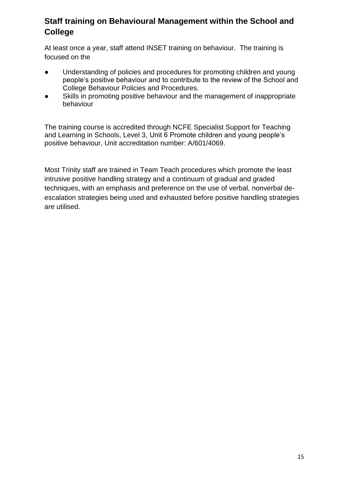# **Staff training on Behavioural Management within the School and College**

At least once a year, staff attend INSET training on behaviour. The training is focused on the

- Understanding of policies and procedures for promoting children and young people's positive behaviour and to contribute to the review of the School and College Behaviour Policies and Procedures.
- Skills in promoting positive behaviour and the management of inappropriate behaviour

The training course is accredited through NCFE Specialist Support for Teaching and Learning in Schools, Level 3, Unit 6 Promote children and young people's positive behaviour, Unit accreditation number: A/601/4069.

Most Trinity staff are trained in Team Teach procedures which promote the least intrusive positive handling strategy and a continuum of gradual and graded techniques, with an emphasis and preference on the use of verbal, nonverbal deescalation strategies being used and exhausted before positive handling strategies are utilised.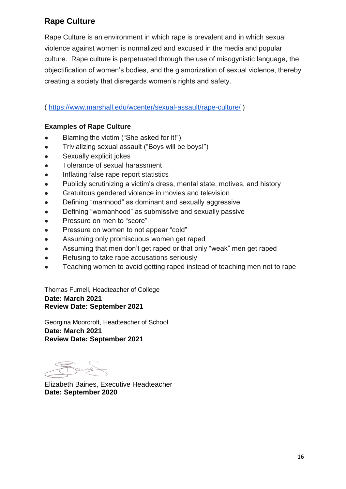# **Rape Culture**

Rape Culture is an environment in which rape is prevalent and in which sexual violence against women is normalized and excused in the media and popular culture. Rape culture is perpetuated through the use of misogynistic language, the objectification of women's bodies, and the glamorization of sexual violence, thereby creating a society that disregards women's rights and safety.

[\(](https://www.marshall.edu/wcenter/sexual-assault/rape-culture/) <https://www.marshall.edu/wcenter/sexual-assault/rape-culture/> )

## **Examples of Rape Culture**

- Blaming the victim ("She asked for it!")
- Trivializing sexual assault ("Boys will be boys!")
- Sexually explicit jokes
- Tolerance of sexual harassment
- Inflating false rape report statistics
- Publicly scrutinizing a victim's dress, mental state, motives, and history
- Gratuitous gendered violence in movies and television
- Defining "manhood" as dominant and sexually aggressive
- Defining "womanhood" as submissive and sexually passive
- Pressure on men to "score"
- Pressure on women to not appear "cold"
- Assuming only promiscuous women get raped
- Assuming that men don't get raped or that only "weak" men get raped
- Refusing to take rape accusations seriously
- Teaching women to avoid getting raped instead of teaching men not to rape

Thomas Furnell, Headteacher of College **Date: March 2021 Review Date: September 2021**

Georgina Moorcroft, Headteacher of School **Date: March 2021 Review Date: September 2021**

Elizabeth Baines, Executive Headteacher **Date: September 2020**